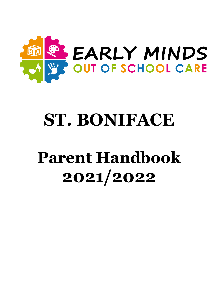

# **ST. BONIFACE**

# **Parent Handbook 2021/2022**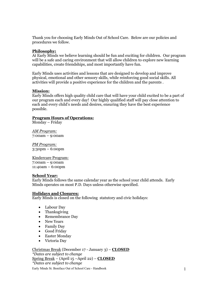Thank you for choosing Early Minds Out of School Care. Below are our policies and procedures we follow.

## **Philosophy:**

At Early Minds we believe learning should be fun and exciting for children. Our program will be a safe and caring environment that will allow children to explore new learning capabilities, create friendships, and most importantly have fun.

Early Minds uses activities and lessons that are designed to develop and improve physical, emotional and other sensory skills, while reinforcing good social skills. All activities will provide a positive experience for the children and the parents .

## **Mission:**

Early Minds offers high quality child care that will have your child excited to be a part of our program each and every day! Our highly qualified staff will pay close attention to each and every child's needs and desires, ensuring they have the best experience possible.

## **Program Hours of Operations:**

Monday – Friday

*AM Program:* 7:00am – 9:00am

*PM Program:* 3:30pm – 6:00pm

Kindercare Program: 7:00am – 9:00am 11:40am – 6:00pm

#### **School Year:**

Early Minds follows the same calendar year as the school your child attends. Early Minds operates on most P.D. Days unless otherwise specified.

#### **Holidays and Closures:**

Early Minds is closed on the following statutory and civic holidays:

- Labour Day
- Thanksgiving
- Remembrance Day
- New Years
- Family Day
- Good Friday
- Easter Monday
- Victoria Day

Christmas Break (December 17 - January 3) – **CLOSED** *\*Dates are subject to change* Spring Break – (April 15 –April 22) – **CLOSED** *\*Dates are subject to change*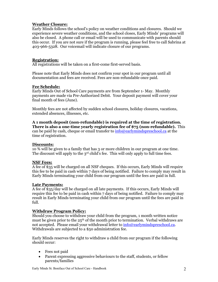# **Weather Closure:**

Early Minds follows the school's policy on weather conditions and closures. Should we experience severe weather conditions, and the school closes, Early Minds' programs will also be closed. A phone call or email will be used to communicate with parents should this occur. If you are not sure if the program is running, please feel free to call Sabrina at 403-966-5328. Our voicemail will indicate closure of our programs.

# **Registration:**

All registrations will be taken on a first-come first-served basis.

Please note that Early Minds does not confirm your spot in our program until all documentation and fees are received. Fees are non-refundable once paid.

## **Fee Schedule:**

Early Minds Out of School Care payments are from September 1- May. Monthly payments are made via Pre-Authorized Debit. Your deposit payment will cover your final month of fees (June).

Monthly fees are not affected by sudden school closures, holiday closures, vacations, extended absences, illnesses, etc.

**A 1 month deposit (non-refundable) is required at the time of registration. There is also a one-time yearly registration fee of \$75 (non-refundable).** This can be paid by cash, cheque or email transfer to  $\frac{info@earlymindspreschool.ca}{info@carlymindspreschool.ca}$  at the time of registration.

# **Discounts:**

10 % will be given to a family that has 3 or more children in our program at one time. The discount will apply to the 3<sup>rd</sup> child's fee. This will only apply to full time fees.

# **NSF Fees:**

A fee of \$35 will be charged on all NSF cheques. If this occurs, Early Minds will require this fee to be paid in cash within 7 days of being notified. Failure to comply may result in Early Minds terminating your child from our program until the fees are paid in full.

#### **Late Payments:**

A fee of \$35/day will be charged on all late payments. If this occurs, Early Minds will require this fee to be paid in cash within  $7 \text{ days}$  of being notified. Failure to comply may result in Early Minds terminating your child from our program until the fees are paid in full.

# **Withdraw Program Policy:**

Should you choose to withdraw your child from the program, 1 month written notice must be given prior to the  $25<sup>th</sup>$  of the month prior to termination. Verbal withdraws are not accepted. Please email your withdrawal letter to info@earlymindspreschool.ca. Withdrawals are subjected to a \$50 administration fee.

Early Minds reserves the right to withdraw a child from our program if the following should occur:

- Fees not paid
- Parent expressing aggressive behaviours to the staff, students, or fellow parents/families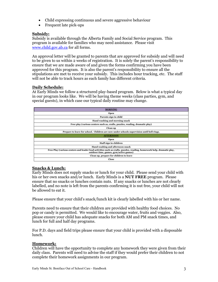- Child expressing continuous and severe aggressive behaviour
- Frequent late pick-ups

# **Subsidy:**

Subsidy is available through the Alberta Family and Social Service program. This program is available for families who may need assistance. Please visit www.child.gov.ab.ca for all forms.

An approval letter will be granted to parents that are approved for subsidy and will need to be given to us within 2 weeks of registration. It is solely the parent's responsibility to ensure that we are made aware of and given the forms confirming you have been approved for this program. It is also the parent's responsibility to ensure all the stipulations are met to receive your subsidy. This includes hour tracking, etc. The staff will not be able to track hours as each family has different criteria.

# **Daily Schedule:**

At Early Minds we follow a structured play-based program. Below is what a typical day in our program looks like. We will be having theme weeks (class parties, gym, and special guests), in which case our typical daily routine may change.

| <b>MORNING</b>                                                                                                                                                  |
|-----------------------------------------------------------------------------------------------------------------------------------------------------------------|
| <b>Open</b>                                                                                                                                                     |
| Parents sign in child                                                                                                                                           |
| Hand washing and morning snack                                                                                                                                  |
| Free play (various centers such as, crafts, puzzles, reading, dramatic play)                                                                                    |
| Clean up                                                                                                                                                        |
| Prepare to leave for school. Children are now under schools supervision until bell rings.                                                                       |
| <b>AFTERNOON</b>                                                                                                                                                |
| Open                                                                                                                                                            |
| Staff sign in children                                                                                                                                          |
| Hand washing and afternoon snack                                                                                                                                |
| Free Play (various centers and leader lead activities such as crafts, puzzles, reading, homework help, dramatic play,<br>outdoor time, games, gym/active games) |
| Clean up, prepare for children to leave                                                                                                                         |
| Close                                                                                                                                                           |

# **Snacks & Lunch:**

Early Minds does not supply snacks or lunch for your child. Please send your child with his or her own snacks and/or lunch. Early Minds is a **NUT FREE** program. Please ensure that no snacks or lunches contain nuts. If any snacks or lunches are not clearly labelled, and no note is left from the parents confirming it is nut free, your child will not be allowed to eat it.

Please ensure that your child's snack/lunch kit is clearly labelled with his or her name.

Parents need to ensure that their children are provided with healthy food choices. No pop or candy is permitted. We would like to encourage water, fruits and veggies. Also, please ensure your child has adequate snacks for both AM and PM snack times, and lunch for full and half day programs.

For P.D. days and field trips please ensure that your child is provided with a disposable lunch.

# **Homework:**

Children will have the opportunity to complete any homework they were given from their daily class. Parents will need to advise the staff if they would prefer their children to not complete their homework assignments in our program.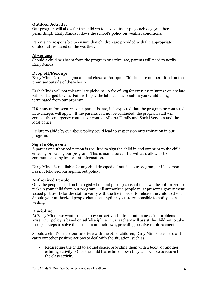# **Outdoor Activity:**

Our program will allow for the children to have outdoor play each day (weather permitting). Early Minds follows the school's policy on weather conditions.

Parents are responsible to ensure that children are provided with the appropriate outdoor attire based on the weather.

#### **Absences:**

Should a child be absent from the program or arrive late, parents will need to notify Early Minds.

# **Drop off/Pick up:**

Early Minds is open at 7:ooam and closes at 6:00pm. Children are not permitted on the premises outside of these hours.

Early Minds will not tolerate late pick-ups. A fee of \$25 for every 10 minutes you are late will be charged to you. Failure to pay the late fee may result in your child being terminated from our program.

If for any unforeseen reason a parent is late, it is expected that the program be contacted. Late charges will apply. If the parents can not be contacted, the program staff will contact the emergency contacts or contact Alberta Family and Social Services and the local police.

Failure to abide by our above policy could lead to suspension or termination in our program.

# **Sign In/Sign out:**

A parent or authorized person is required to sign the child in and out prior to the child entering or leaving our program. This is mandatory. This will also allow us to communicate any important information.

Early Minds is not liable for any child dropped off outside our program, or if a person has not followed our sign in/out policy.

# **Authorized People:**

Only the people listed on the registration and pick up consent form will be authorized to pick up your child from our program. All authorized people must present a government issued picture ID for the staff to verify with the file in order to release the child to them. Should your authorized people change at anytime you are responsible to notify us in writing.

# **Discipline:**

At Early Minds we want to see happy and active children, but on occasion problems arise. Our policy is based on self-discipline. Our teachers will assist the children to take the right steps to solve the problem on their own, providing positive reinforcement.

Should a child's behaviour interfere with the other children, Early Minds' teachers will carry out other positive actions to deal with the situation, such as:

• Redirecting the child to a quiet space, providing them with a book, or another calming activity. Once the child has calmed down they will be able to return to the class activity.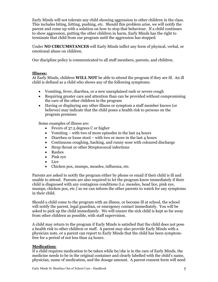Early Minds will not tolerate any child showing aggression to other children in the class. This includes biting, hitting, pushing, etc. Should this problem arise, we will notify the parent and come up with a solution on how to stop that behaviour. If a child continues to show aggression, putting the other children in harm, Early Minds has the right to terminate that child from our program until the aggression has stopped.

Under **NO CIRCUMSTANCES** will Early Minds inflict any form of physical, verbal, or emotional abuse on children.

Our discipline policy is communicated to all staff members, parents, and children.

## **Illness:**

At Early Minds, children **WILL NOT** be able to attend the program if they are ill. An ill child is defined as a child who shows any of the following symptoms:

- Vomiting, fever, diarrhea, or a new unexplained rash or severe cough
- Requiring greater care and attention than can be provided without compromising the care of the other children in the program
- Having or displaying any other illness or symptom a staff member knows (or believes) may indicate that the child poses a health risk to persons on the program premises

Some examples of illness are:

- Fevers of 37.5 degrees C or higher
- Vomiting with two of more episodes in the last 24 hours
- Diarrhea or loose stool with two or more in the last 4 hours
- Continuous coughing, hacking, and runny nose with coloured discharge
- Strep throat or other Streptococcal infections
- Rashes
- Pink eye
- Lice
- Chicken pox, mumps, measles, influenza, etc.

Parents are asked to notify the program either by phone or email if their child is ill and unable to attend. Parents are also required to let the program know immediately if their child is diagnosed with any contagious conditions (i.e. measles, head lice, pink eye, mumps, chicken pox, etc.) so we can inform the other parents to watch for any symptoms in their child.

Should a child come to the program with an illness, or become ill at school, the school will notify the parent, legal guardian, or emergency contact immediately. You will be asked to pick up the child immediately. We will ensure the sick child is kept as far away from other children as possible, with staff supervision.

A child may return to the program if Early Minds is satisfied that the child does not pose a health risk to other children or staff. A parent may also provide Early Minds with a physician note, or a parent can report to Early Minds that the child has been symptomfree for a period of not less than 24 hours.

# **Medication:**

If a child requires medication to be taken while he/she is in the care of Early Minds, the medicine needs to be in the original container and clearly labelled with the child's name, physician, name of medication, and the dosage amount. A parent consent form will need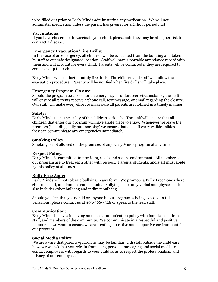to be filled out prior to Early Minds administering any medication. We will not administer medication unless the parent has given it for a 24hour period first.

# **Vaccinations:**

If you have chosen not to vaccinate your child, please note they may be at higher risk to contract a disease.

# **Emergency Evacuation/Fire Drills:**

In the case of an emergency, all children will be evacuated from the building and taken by staff to our safe designated location. Staff will have a portable attendance record with them and will account for every child. Parents will be contacted if they are required to come pick up their child.

Early Minds will conduct monthly fire drills. The children and staff will follow the evacuation procedure. Parents will be notified when fire drills will take place.

## **Emergency Program Closure:**

Should the program be closed for an emergency or unforeseen circumstance, the staff will ensure all parents receive a phone call, text message, or email regarding the closure. Our staff will make every effort to make sure all parents are notified in a timely manner.

## **Safety:**

Early Minds takes the safety of the children seriously. The staff will ensure that all children that enter our program will have a safe place to enjoy. Whenever we leave the premises (including daily outdoor play) we ensure that all staff carry walkie-talkies so they can communicate any emergencies immediately.

## **Smoking Policy:**

Smoking is not allowed on the premises of any Early Minds program at any time

# **Respect Policy:**

Early Minds is committed to providing a safe and secure environment. All members of our program are to treat each other with respect. Parents, students, and staff must abide by this policy at all times.

#### **Bully Free Zone:**

Early Minds will not tolerate bullying in any form. We promote a Bully Free Zone where children, staff, and families can feel safe. Bullying is not only verbal and physical. This also includes cyber bullying and indirect bullying.

Should you feel that your child or anyone in our program is being exposed to this behaviour, please contact us at 403-966-5328 or speak to the lead staff.

# **Communication:**

Early Minds believes in having an open communication policy with families, children, staff, and members of the community. We communicate in a respectful and positive manner, as we want to ensure we are creating a positive and supportive environment for our program.

# **Social Media Policy:**

We are aware that parents/guardians may be familiar with staff outside the child care; however we ask that you refrain from using personal messaging and social media to contact employees with regards to your child so as to respect the professionalism and privacy of our employees.